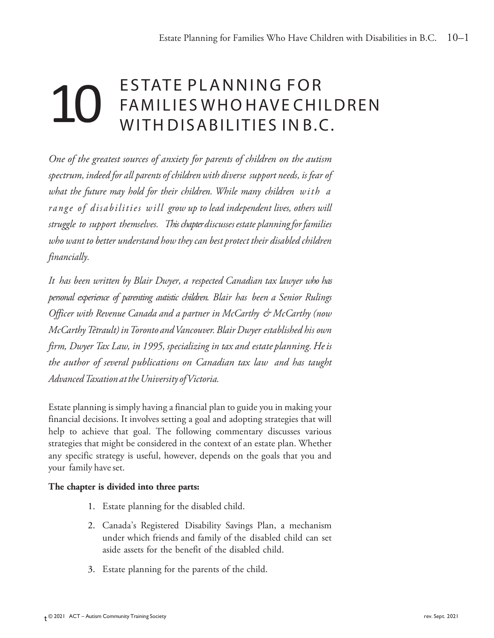# ESTATE PLANNING FOR FAMILIE S W HO HAVE CHILDREN WITH DISABILITIES IN B.C. 10

*One of the greatest sources of anxiety for parents of children on the autism spectrum, indeed for all parents of children with diverse support needs, is fear of what the future may hold for their children. While many children with a range of disabilities will grow up to lead independent lives, others will struggle to support themselves. This chapterdiscussesestate planningfor families who want to better understand how they can best protect their disabled children financially.* 

*It has been written by Blair Dwyer, a respected Canadian tax lawyer who has personal experience of parenting autistic children. Blair has been a Senior Rulings Officer with Revenue Canada and a partner in McCarthy & McCarthy (now McCarthyTétrault) inToronto andVancouver.Blair Dwyer established his own firm, Dwyer Tax Law, in 1995, specializing in tax and estate planning.Heis the author of several publications on Canadian tax law and has taught AdvancedTaxation attheUniversity ofVictoria.* 

Estate planning is simply having a financial plan to guide you in making your financial decisions. It involves setting a goal and adopting strategies that will help to achieve that goal. The following commentary discusses various strategies that might be considered in the context of an estate plan. Whether any specific strategy is useful, however, depends on the goals that you and your family have set.

### **The chapter is divided into three parts:**

- 1. Estate planning for the disabled child.
- 2. Canada's Registered Disability Savings Plan, a mechanism under which friends and family of the disabled child can set aside assets for the benefit of the disabled child.
- 3. Estate planning for the parents of the child.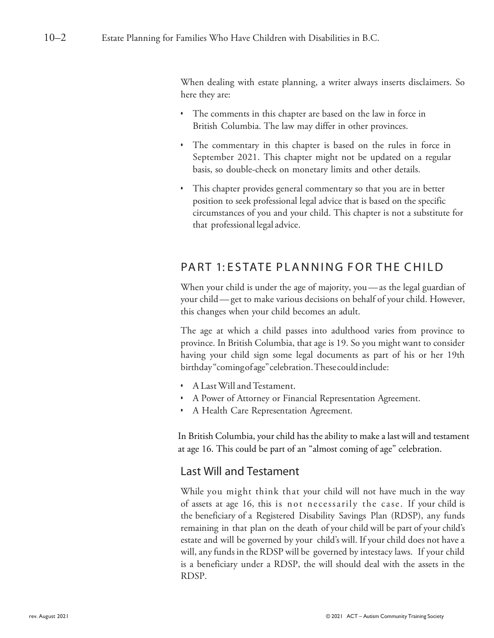When dealing with estate planning, a writer always inserts disclaimers. So here they are:

- The comments in this chapter are based on the law in force in British Columbia. The law may differ in other provinces.
- The commentary in this chapter is based on the rules in force in September 2021. This chapter might not be updated on a regular basis, so double-check on monetary limits and other details.
- This chapter provides general commentary so that you are in better position to seek professional legal advice that is based on the specific circumstances of you and your child. This chapter is not a substitute for that professional legal advice.

### PART 1: ESTATE PLANNING FOR THE CHILD

When your child is under the age of majority, you—as the legal guardian of your child—get to make various decisions on behalf of your child. However, this changes when your child becomes an adult.

The age at which a child passes into adulthood varies from province to province. In British Columbia, that age is 19. So you might want to consider having your child sign some legal documents as part of his or her 19th birthday"comingofage"celebration.Thesecouldinclude:

- A Last Will and Testament.
- A Power of Attorney or Financial Representation Agreement.
- A Health Care Representation Agreement.

In British Columbia, your child has the ability to make a last will and testament at age 16. This could be part of an "almost coming of age" celebration.

### Last Will and Testament

While you might think that your child will not have much in the way of assets at age 16, this is not necessarily the case. If your child is the beneficiary of a Registered Disability Savings Plan (RDSP), any funds remaining in that plan on the death of your child will be part of your child's estate and will be governed by your child's will. If your child does not have a will, any funds in the RDSP will be governed by intestacy laws. If your child is a beneficiary under a RDSP, the will should deal with the assets in the RDSP.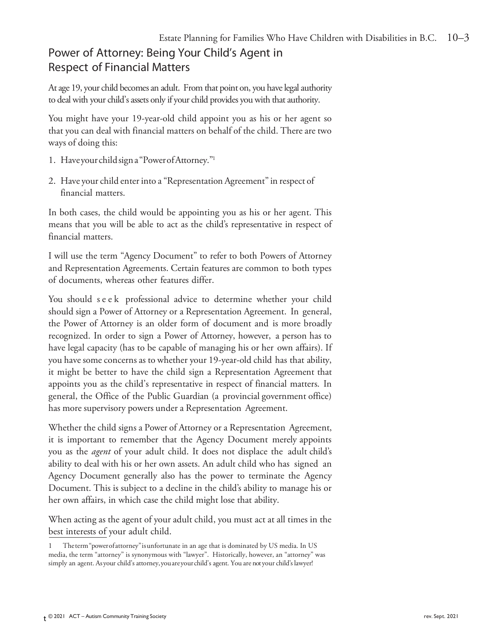# Power of Attorney: Being Your Child's Agent in Respect of Financial Matters

At age 19, your child becomes an adult. From that point on, you have legal authority to deal with your child's assets only if your child provides you with that authority.

You might have your 19-year-old child appoint you as his or her agent so that you can deal with financial matters on behalf of the child. There are two ways of doing this:

- 1. Haveyour childsigna"PowerofAttorney."1
- 2. Have your child enter into a "Representation Agreement" in respect of financial matters.

In both cases, the child would be appointing you as his or her agent. This means that you will be able to act as the child's representative in respect of financial matters.

I will use the term "Agency Document" to refer to both Powers of Attorney and Representation Agreements. Certain features are common to both types of documents, whereas other features differ.

You should seek professional advice to determine whether your child should sign a Power of Attorney or a Representation Agreement. In general, the Power of Attorney is an older form of document and is more broadly recognized. In order to sign a Power of Attorney, however, a person has to have legal capacity (has to be capable of managing his or her own affairs). If you have some concerns as to whether your 19-year-old child has that ability, it might be better to have the child sign a Representation Agreement that appoints you as the child's representative in respect of financial matters. In general, the Office of the Public Guardian (a provincial government office) has more supervisory powers under a Representation Agreement.

Whether the child signs a Power of Attorney or a Representation Agreement, it is important to remember that the Agency Document merely appoints you as the *agent* of your adult child. It does not displace the adult child's ability to deal with his or her own assets. An adult child who has signed an Agency Document generally also has the power to terminate the Agency Document. This is subject to a decline in the child's ability to manage his or her own affairs, in which case the child might lose that ability.

When acting as the agent of your adult child, you must act at all times in the best interests of your adult child.

<sup>1</sup> Theterm"powerofattorney"isunfortunate in an age that is dominated by US media. In US media, the term "attorney" is synonymous with "lawyer". Historically, however, an "attorney" was simply an agent. Asyour child's attorney,youareyourchild's agent. You are not your child's lawyer!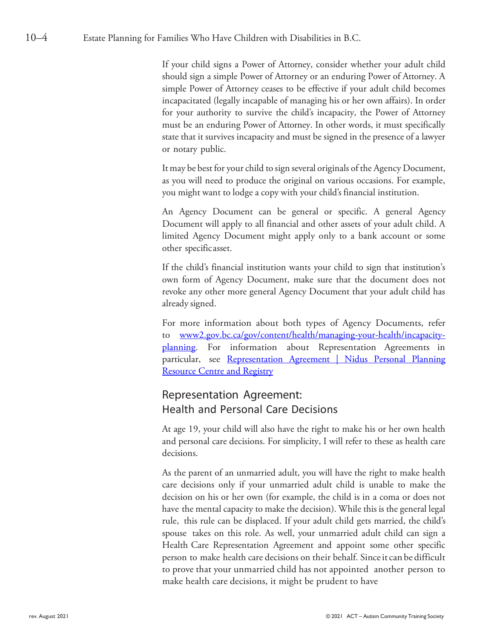If your child signs a Power of Attorney, consider whether your adult child should sign a simple Power of Attorney or an enduring Power of Attorney. A simple Power of Attorney ceases to be effective if your adult child becomes incapacitated (legally incapable of managing his or her own affairs). In order for your authority to survive the child's incapacity, the Power of Attorney must be an enduring Power of Attorney. In other words, it must specifically state that it survives incapacity and must be signed in the presence of a lawyer or notary public.

It may be best for your child to sign several originals of the Agency Document, as you will need to produce the original on various occasions. For example, you might want to lodge a copy with your child's financial institution.

An Agency Document can be general or specific. A general Agency Document will apply to all financial and other assets of your adult child. A limited Agency Document might apply only to a bank account or some other specificasset.

If the child's financial institution wants your child to sign that institution's own form of Agency Document, make sure that the document does not revoke any other more general Agency Document that your adult child has already signed.

For more information about both types of Agency Documents, refer to [www2.gov.bc.ca/gov/content/health/managing-your-health/incapacity](https://www2.gov.bc.ca/gov/content/health/managing-your-health/incapacity-planning)[planning](https://www2.gov.bc.ca/gov/content/health/managing-your-health/incapacity-planning)[.](http://www.cba.org/BC/public_media/wills/180.aspx) For information about Representation Agreements in particular, see Representation Agreement | Nidus Personal Planning [Resource Centre and Registry](https://www.nidus.ca/resources-ra/)

### Representation Agreement: Health and Personal Care Decisions

At age 19, your child will also have the right to make his or her own health and personal care decisions. For simplicity, I will refer to these as health care decisions.

As the parent of an unmarried adult, you will have the right to make health care decisions only if your unmarried adult child is unable to make the decision on his or her own (for example, the child is in a coma or does not have the mental capacity to make the decision). While this is the general legal rule, this rule can be displaced. If your adult child gets married, the child's spouse takes on this role. As well, your unmarried adult child can sign a Health Care Representation Agreement and appoint some other specific person to make health care decisions on their behalf. Sinceit can be difficult to prove that your unmarried child has not appointed another person to make health care decisions, it might be prudent to have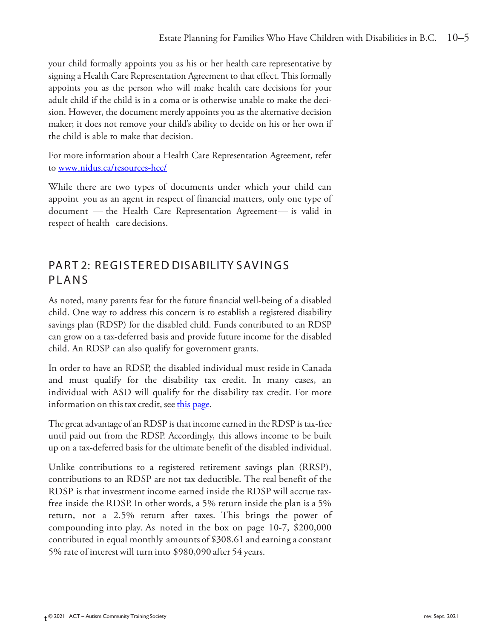your child formally appoints you as his or her health care representative by signing a Health Care Representation Agreement to that effect. This formally appoints you as the person who will make health care decisions for your adult child if the child is in a coma or is otherwise unable to make the decision. However, the document merely appoints you as the alternative decision maker; it does not remove your child's ability to decide on his or her own if the child is able to make that decision.

For more information about a Health Care Representation Agreement, refer to [www.nidus.ca/resources-hcc/](http://www.nidus.ca/resources-hcc/)

While there are two types of documents under which your child can appoint you as an agent in respect of financial matters, only one type of document — the Health Care Representation Agreement— is valid in respect of health care decisions.

### PART 2: REGISTERED DISABILITY SAVINGS PLANS

As noted, many parents fear for the future financial well-being of a disabled child. One way to address this concern is to establish a registered disability savings plan (RDSP) for the disabled child. Funds contributed to an RDSP can grow on a tax-deferred basis and provide future income for the disabled child. An RDSP can also qualify for government grants.

In order to have an RDSP, the disabled individual must reside in Canada and must qualify for the disability tax credit. In many cases, an individual with ASD will qualify for the disability tax credit. For more information on this tax credit, see this page.

The great advantage of an RDSP is that income earned in the RDSP is tax-free until paid out from the RDSP. Accordingly, this allows income to be built up on a tax-deferred basis for the ultimate benefit of the disabled individual.

Unlike contributions to a registered retirement savings plan (RRSP), contributions to an RDSP are not tax deductible. The real benefit of the RDSP is that investment income earned inside the RDSP will accrue taxfree inside the RDSP. In other words, a 5% return inside the plan is a 5% return, not a 2.5% return after taxes. This brings the power of compounding into play. As noted in the box on page 10-7, \$200,000 contributed in equal monthly amounts of \$308.61 and earning a constant 5% rate of interestwill turn into \$980,090 after 54 years.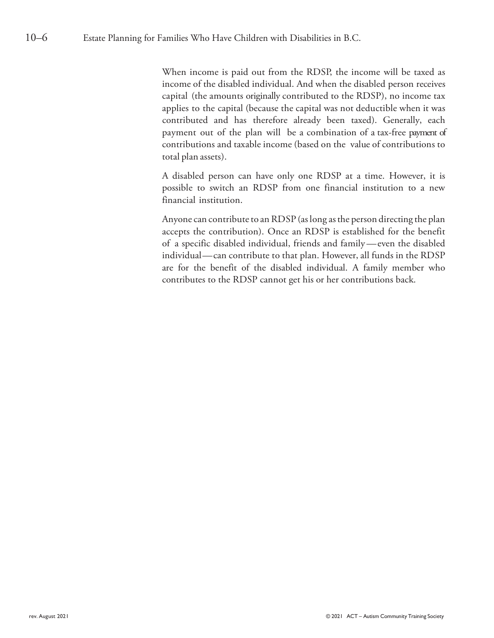When income is paid out from the RDSP, the income will be taxed as income of the disabled individual. And when the disabled person receives capital (the amounts originally contributed to the RDSP), no income tax applies to the capital (because the capital was not deductible when it was contributed and has therefore already been taxed). Generally, each payment out of the plan will be a combination of a tax-free payment of contributions and taxable income (based on the value of contributions to total plan assets).

A disabled person can have only one RDSP at a time. However, it is possible to switch an RDSP from one financial institution to a new financial institution.

Anyone can contribute to an RDSP (as long as the person directing the plan accepts the contribution). Once an RDSP is established for the benefit of a specific disabled individual, friends and family—even the disabled individual—can contribute to that plan. However, all funds in the RDSP are for the benefit of the disabled individual. A family member who contributes to the RDSP cannot get his or her contributions back.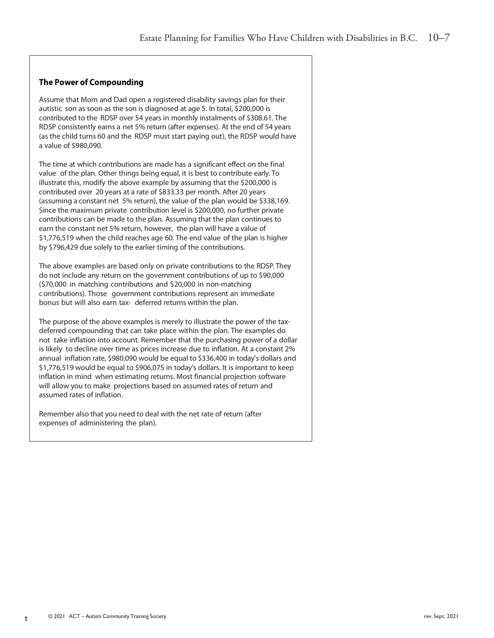#### **The Power of Compounding**

Assume that Mom and Dad open a registered disability savings plan for their autistic son as soon as the son is diagnosed at age 5. In total, \$200,000 is contributed to the RDSP over 54 years in monthly instalments of \$308.61. The RDSP consistently earns a net 5% return (after expenses). At the end of 54 years (as the child turns 60 and the RDSP must start paying out), the RDSP would have a value of \$980,090.

The time at which contributions are made has a significant effect on the final value of the plan. Other things being equal, it is best to contribute early. To illustrate this, modify the above example by assuming that the \$200,000 is contributed over 20 years at a rate of \$833.33 per month. After 20 years (assuming a constant net 5% return), the value of the plan would be \$338,169. Since the maximum private contribution level is \$200,000, no further private contributions can be made to the plan. Assuming that the plan continues to earn the constant net 5% return, however, the plan will have a value of \$1,776,519 when the child reaches age 60. The end value of the plan is higher by \$796,429 due solely to the earlier timing of the contributions.

The above examples are based only on private contributions to the RDSP. They do not include any return on the government contributions of up to \$90,000 (\$70,000 in matching contributions and \$20,000 in non-matching contributions). Those government contributions represent an immediate bonus but will also earn tax- deferred returns within the plan.

The purpose of the above examples is merely to illustrate the power of the taxdeferred compounding that can take place within the plan. The examples do not take inflation into account. Remember that the purchasing power of a dollar is likely to decline over time as prices increase due to inflation. At a constant 2% annual inflation rate, \$980,090 would be equal to \$336,400 in today's dollars and \$1,776,519 would be equal to \$906,075 in today's dollars. It is important to keep inflation in mind when estimating returns. Most financial projection software will allow you to make projections based on assumed rates of return and assumed rates of inflation.

Remember also that you need to deal with the net rate of return (after expenses of administering the plan).

t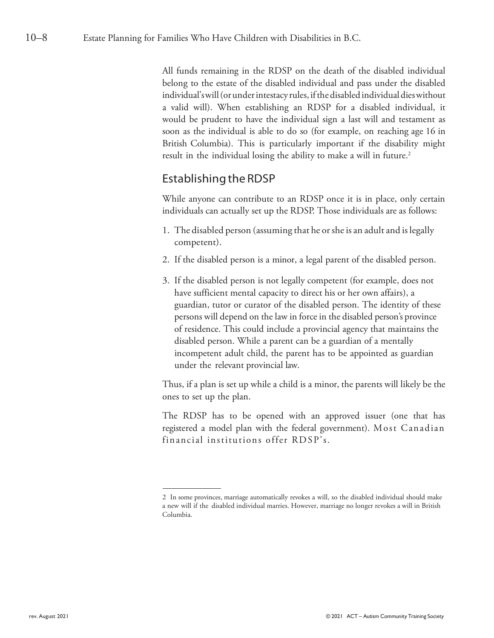All funds remaining in the RDSP on the death of the disabled individual belong to the estate of the disabled individual and pass under the disabled individual'swill(orunderintestacy rules, ifthedisabledindividualdieswithout a valid will). When establishing an RDSP for a disabled individual, it would be prudent to have the individual sign a last will and testament as soon as the individual is able to do so (for example, on reaching age 16 in British Columbia). This is particularly important if the disability might result in the individual losing the ability to make a will in future.<sup>2</sup>

### Establishing the RDSP

While anyone can contribute to an RDSP once it is in place, only certain individuals can actually set up the RDSP. Those individuals are as follows:

- 1. The disabled person (assuming that he or sheis an adult and islegally competent).
- 2. If the disabled person is a minor, a legal parent of the disabled person.
- 3. If the disabled person is not legally competent (for example, does not have sufficient mental capacity to direct his or her own affairs), a guardian, tutor or curator of the disabled person. The identity of these persons will depend on the law in force in the disabled person's province of residence. This could include a provincial agency that maintains the disabled person. While a parent can be a guardian of a mentally incompetent adult child, the parent has to be appointed as guardian under the relevant provincial law.

Thus, if a plan is set up while a child is a minor, the parents will likely be the ones to set up the plan.

The RDSP has to be opened with an approved issuer (one that has registered a model plan with the federal government). Most Canadian financial institutions offer RDSP's.

<sup>2</sup> In some provinces, marriage automatically revokes a will, so the disabled individual should make a new will if the disabled individual marries. However, marriage no longer revokes a will in British Columbia.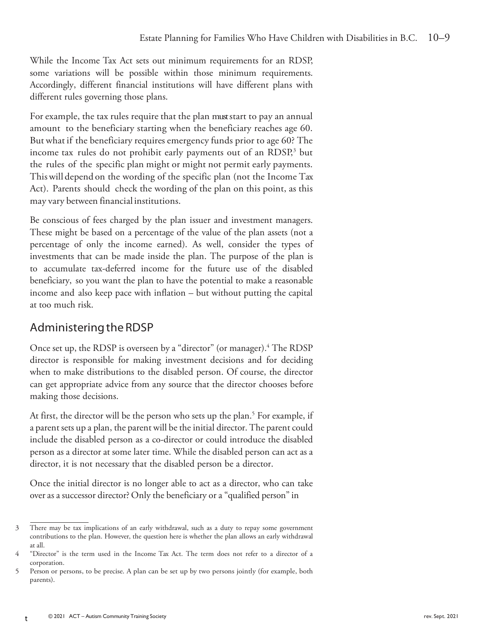While the Income Tax Act sets out minimum requirements for an RDSP, some variations will be possible within those minimum requirements. Accordingly, different financial institutions will have different plans with different rules governing those plans.

For example, the tax rules require that the plan must start to pay an annual amount to the beneficiary starting when the beneficiary reaches age 60. But what if the beneficiary requires emergency funds prior to age 60? The income tax rules do not prohibit early payments out of an RDSP, <sup>3</sup> but the rules of the specific plan might or might not permit early payments. Thiswill depend on the wording of the specific plan (not the Income Tax Act). Parents should check the wording of the plan on this point, as this may vary between financial institutions.

Be conscious of fees charged by the plan issuer and investment managers. These might be based on a percentage of the value of the plan assets (not a percentage of only the income earned). As well, consider the types of investments that can be made inside the plan. The purpose of the plan is to accumulate tax-deferred income for the future use of the disabled beneficiary, so you want the plan to have the potential to make a reasonable income and also keep pace with inflation – but without putting the capital at too much risk.

# Administering the RDSP

Once set up, the RDSP is overseen by a "director" (or manager).4 The RDSP director is responsible for making investment decisions and for deciding when to make distributions to the disabled person. Of course, the director can get appropriate advice from any source that the director chooses before making those decisions.

At first, the director will be the person who sets up the plan.<sup>5</sup> For example, if a parent sets up a plan, the parent will be the initial director. The parent could include the disabled person as a co-director or could introduce the disabled person as a director at some later time. While the disabled person can act as a director, it is not necessary that the disabled person be a director.

Once the initial director is no longer able to act as a director, who can take over as a successor director? Only the beneficiary or a "qualified person" in

<sup>3</sup> There may be tax implications of an early withdrawal, such as a duty to repay some government contributions to the plan. However, the question here is whether the plan allows an early withdrawal at all.

<sup>4</sup> "Director" is the term used in the Income Tax Act. The term does not refer to a director of a corporation.

<sup>5</sup> Person or persons, to be precise. A plan can be set up by two persons jointly (for example, both parents).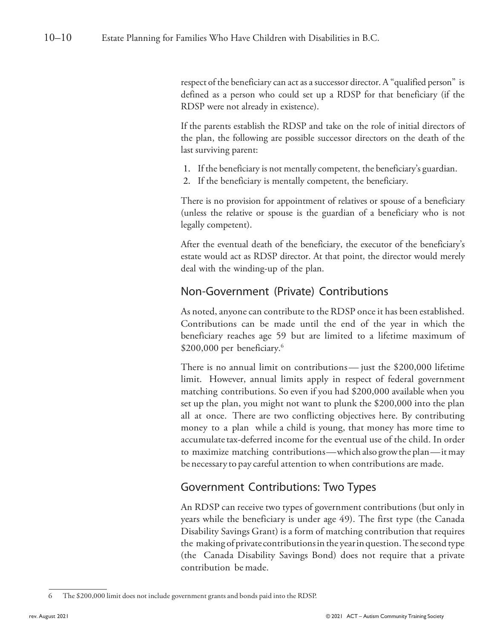respect of the beneficiary can act as a successor director. A "qualified person" is defined as a person who could set up a RDSP for that beneficiary (if the RDSP were not already in existence).

If the parents establish the RDSP and take on the role of initial directors of the plan, the following are possible successor directors on the death of the last surviving parent:

- 1. If the beneficiary is not mentally competent, the beneficiary's guardian.
- 2. If the beneficiary is mentally competent, the beneficiary.

There is no provision for appointment of relatives or spouse of a beneficiary (unless the relative or spouse is the guardian of a beneficiary who is not legally competent).

After the eventual death of the beneficiary, the executor of the beneficiary's estate would act as RDSP director. At that point, the director would merely deal with the winding-up of the plan.

### Non-Government (Private) Contributions

As noted, anyone can contribute to the RDSP once it has been established. Contributions can be made until the end of the year in which the beneficiary reaches age 59 but are limited to a lifetime maximum of \$200,000 per beneficiary.<sup>6</sup>

There is no annual limit on contributions— just the \$200,000 lifetime limit. However, annual limits apply in respect of federal government matching contributions. So even if you had \$200,000 available when you set up the plan, you might not want to plunk the \$200,000 into the plan all at once. There are two conflicting objectives here. By contributing money to a plan while a child is young, that money has more time to accumulate tax-deferred income for the eventual use of the child. In order to maximize matching contributions—which also growthe plan—itmay be necessary to pay careful attention to when contributions are made.

### Government Contributions: Two Types

An RDSP can receive two types of government contributions (but only in years while the beneficiary is under age 49). The first type (the Canada Disability Savings Grant) is a form of matching contribution that requires the making of private contributionsin the yearinquestion.Thesecond type (the Canada Disability Savings Bond) does not require that a private contribution be made.

<sup>6</sup> The \$200,000 limit does not include government grants and bonds paid into the RDSP.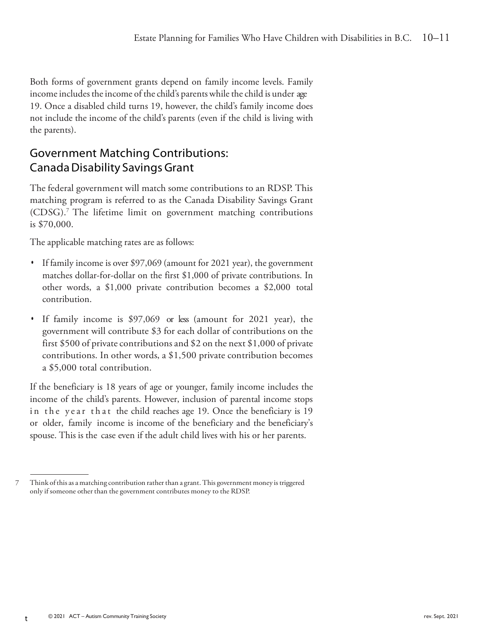Both forms of government grants depend on family income levels. Family income includes the income of the child's parents while the child is under age 19. Once a disabled child turns 19, however, the child's family income does not include the income of the child's parents (even if the child is living with the parents).

# Government Matching Contributions: CanadaDisability Savings Grant

The federal government will match some contributions to an RDSP. This matching program is referred to as the Canada Disability Savings Grant (CDSG).7 The lifetime limit on government matching contributions is \$70,000.

The applicable matching rates are as follows:

- *•* If family income is over \$97,069 (amount for 2021 year), the government matches dollar-for-dollar on the first \$1,000 of private contributions. In other words, a \$1,000 private contribution becomes a \$2,000 total contribution.
- *•* If family income is \$97,069 or less (amount for 2021 year), the government will contribute \$3 for each dollar of contributions on the first \$500 of private contributions and \$2 on the next \$1,000 of private contributions. In other words, a \$1,500 private contribution becomes a \$5,000 total contribution.

If the beneficiary is 18 years of age or younger, family income includes the income of the child's parents. However, inclusion of parental income stops in the year that the child reaches age 19. Once the beneficiary is 19 or older, family income is income of the beneficiary and the beneficiary's spouse. This is the case even if the adult child lives with his or her parents.

t

<sup>7</sup> Think ofthis as amatching contribution ratherthan a grant.This government money is triggered only if someone other than the government contributes money to the RDSP.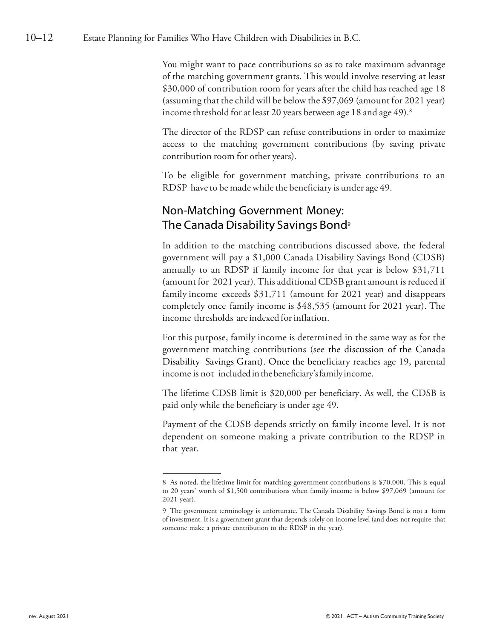You might want to pace contributions so as to take maximum advantage of the matching government grants. This would involve reserving at least \$30,000 of contribution room for years after the child has reached age 18 (assuming that the child will be below the \$97,069 (amount for 2021 year) income threshold for at least 20 years between age 18 and age  $49$ ).<sup>8</sup>

The director of the RDSP can refuse contributions in order to maximize access to the matching government contributions (by saving private contribution room for other years).

To be eligible for government matching, private contributions to an RDSP have to be made while the beneficiary is under age 49.

# Non-Matching Government Money: The Canada Disability Savings Bond<sup>9</sup>

In addition to the matching contributions discussed above, the federal government will pay a \$1,000 Canada Disability Savings Bond (CDSB) annually to an RDSP if family income for that year is below \$31,711 (amount for 2021 year). This additional CDSB grant amount is reduced if family income exceeds \$31,711 (amount for 2021 year) and disappears completely once family income is \$48,535 (amount for 2021 year). The income thresholds are indexed for inflation.

For this purpose, family income is determined in the same way as for the government matching contributions (see the discussion of the Canada Disability Savings Grant). Once the beneficiary reaches age 19, parental income is not included in the beneficiary's family income.

The lifetime CDSB limit is \$20,000 per beneficiary. As well, the CDSB is paid only while the beneficiary is under age 49.

Payment of the CDSB depends strictly on family income level. It is not dependent on someone making a private contribution to the RDSP in that year.

<sup>8</sup> As noted, the lifetime limit for matching government contributions is \$70,000. This is equal to 20 years' worth of \$1,500 contributions when family income is below \$97,069 (amount for 2021 year).

<sup>9</sup> The government terminology is unfortunate. The Canada Disability Savings Bond is not a form of investment. It is a government grant that depends solely on income level (and does not require that someone make a private contribution to the RDSP in the year).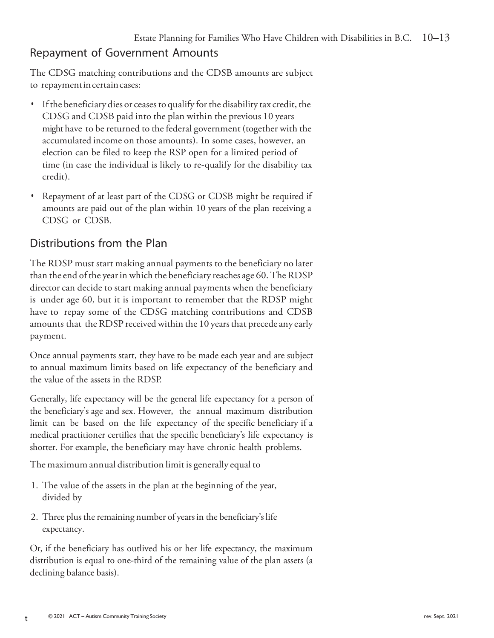# Repayment of Government Amounts

The CDSG matching contributions and the CDSB amounts are subject to repayment in certain cases:

- If the beneficiary dies or ceases to qualify for the disability tax credit, the CDSG and CDSB paid into the plan within the previous 10 years might have to be returned to the federal government (together with the accumulated income on those amounts). In some cases, however, an election can be filed to keep the RSP open for a limited period of time (in case the individual is likely to re-qualify for the disability tax credit).
- *•* Repayment of at least part of the CDSG or CDSB might be required if amounts are paid out of the plan within 10 years of the plan receiving a CDSG or CDSB.

# Distributions from the Plan

The RDSP must start making annual payments to the beneficiary no later than the end of the year in which the beneficiary reaches age 60. The RDSP director can decide to start making annual payments when the beneficiary is under age 60, but it is important to remember that the RDSP might have to repay some of the CDSG matching contributions and CDSB amounts that the RDSP received within the 10 years that precede any early payment.

Once annual payments start, they have to be made each year and are subject to annual maximum limits based on life expectancy of the beneficiary and the value of the assets in the RDSP.

Generally, life expectancy will be the general life expectancy for a person of the beneficiary's age and sex. However, the annual maximum distribution limit can be based on the life expectancy of the specific beneficiary if a medical practitioner certifies that the specific beneficiary's life expectancy is shorter. For example, the beneficiary may have chronic health problems.

The maximum annual distribution limit is generally equal to

- 1. The value of the assets in the plan at the beginning of the year, divided by
- 2. Three plus the remaining number of years in the beneficiary's life expectancy.

Or, if the beneficiary has outlived his or her life expectancy, the maximum distribution is equal to one-third of the remaining value of the plan assets (a declining balance basis).

t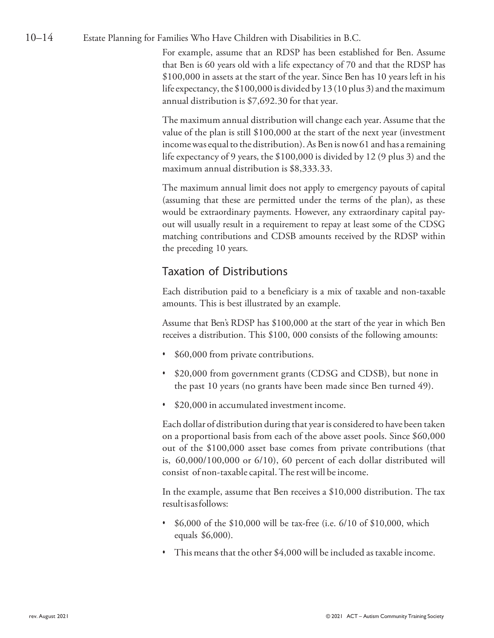#### 10–14 Estate Planning for Families Who Have Children with Disabilities in B.C.

For example, assume that an RDSP has been established for Ben. Assume that Ben is 60 years old with a life expectancy of 70 and that the RDSP has \$100,000 in assets at the start of the year. Since Ben has 10 years left in his life expectancy, the  $$100,000$  is divided by 13 (10 plus 3) and the maximum annual distribution is \$7,692.30 for that year.

The maximum annual distribution will change each year. Assume that the value of the plan is still \$100,000 at the start of the next year (investment income was equal to the distribution). As Ben is now 61 and has a remaining life expectancy of 9 years, the \$100,000 is divided by 12 (9 plus 3) and the maximum annual distribution is \$8,333.33.

The maximum annual limit does not apply to emergency payouts of capital (assuming that these are permitted under the terms of the plan), as these would be extraordinary payments. However, any extraordinary capital payout will usually result in a requirement to repay at least some of the CDSG matching contributions and CDSB amounts received by the RDSP within the preceding 10 years.

### Taxation of Distributions

Each distribution paid to a beneficiary is a mix of taxable and non-taxable amounts. This is best illustrated by an example.

Assume that Ben's RDSP has \$100,000 at the start of the year in which Ben receives a distribution. This \$100, 000 consists of the following amounts:

- *•* \$60,000 from private contributions.
- *•* \$20,000 from government grants (CDSG and CDSB), but none in the past 10 years (no grants have been made since Ben turned 49).
- *•* \$20,000 in accumulated investment income.

Each dollar of distribution during that yearis considered to have been taken on a proportional basis from each of the above asset pools. Since \$60,000 out of the \$100,000 asset base comes from private contributions (that is, 60,000/100,000 or 6/10), 60 percent of each dollar distributed will consist of non-taxable capital. The rest will be income.

In the example, assume that Ben receives a \$10,000 distribution. The tax resultisasfollows:

- *•* \$6,000 of the \$10,000 will be tax-free (i.e. 6/10 of \$10,000, which equals \$6,000).
- This means that the other \$4,000 will be included as taxable income.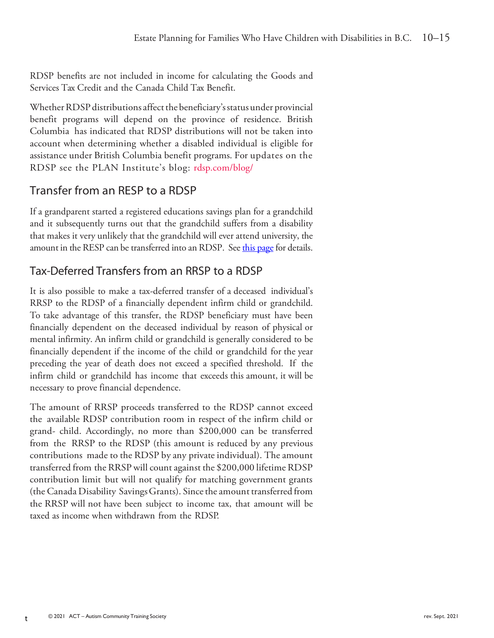RDSP benefits are not included in income for calculating the Goods and Services Tax Credit and the Canada Child Tax Benefit.

Whether RDSP distributions affect the beneficiary's status under provincial benefit programs will depend on the province of residence. British Columbia has indicated that RDSP distributions will not be taken into account when determining whether a disabled individual is eligible for assistance under British Columbia benefit programs. For updates on the RDSP see the PLAN Institute's blog: rdsp.com/blog/

### Transfer from an RESP to a RDSP

If a grandparent started a registered educations savings plan for a grandchild and it subsequently turns out that the grandchild suffers from a disability that makes it very unlikely that the grandchild will ever attend university, the amount in the RESP can be transferred into an RDSP. See this page for details.

# Tax-Deferred Transfers from an RRSP to a RDSP

It is also possible to make a tax-deferred transfer of a deceased individual's RRSP to the RDSP of a financially dependent infirm child or grandchild. To take advantage of this transfer, the RDSP beneficiary must have been financially dependent on the deceased individual by reason of physical or mental infirmity. An infirm child or grandchild is generally considered to be financially dependent if the income of the child or grandchild for the year preceding the year of death does not exceed a specified threshold. If the infirm child or grandchild has income that exceeds this amount, it will be necessary to prove financial dependence.

The amount of RRSP proceeds transferred to the RDSP cannot exceed the available RDSP contribution room in respect of the infirm child or grand- child. Accordingly, no more than \$200,000 can be transferred from the RRSP to the RDSP (this amount is reduced by any previous contributions made to the RDSP by any private individual). The amount transferred from the RRSP will count against the \$200,000 lifetime RDSP contribution limit but will not qualify for matching government grants (the Canada Disability SavingsGrants). Sincethe amount transferred from the RRSP will not have been subject to income tax, that amount will be taxed as income when withdrawn from the RDSP.

t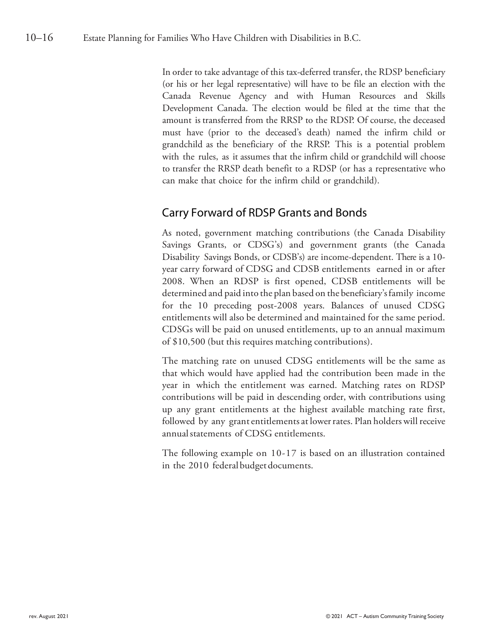In order to take advantage of this tax-deferred transfer, the RDSP beneficiary (or his or her legal representative) will have to be file an election with the Canada Revenue Agency and with Human Resources and Skills Development Canada. The election would be filed at the time that the amount is transferred from the RRSP to the RDSP. Of course, the deceased must have (prior to the deceased's death) named the infirm child or grandchild as the beneficiary of the RRSP. This is a potential problem with the rules, as it assumes that the infirm child or grandchild will choose to transfer the RRSP death benefit to a RDSP (or has a representative who can make that choice for the infirm child or grandchild).

### Carry Forward of RDSP Grants and Bonds

As noted, government matching contributions (the Canada Disability Savings Grants, or CDSG's) and government grants (the Canada Disability Savings Bonds, or CDSB's) are income-dependent. There is a 10 year carry forward of CDSG and CDSB entitlements earned in or after 2008. When an RDSP is first opened, CDSB entitlements will be determined and paid into the plan based on the beneficiary'sfamily income for the 10 preceding post-2008 years. Balances of unused CDSG entitlements will also be determined and maintained for the same period. CDSGs will be paid on unused entitlements, up to an annual maximum of \$10,500 (but this requires matching contributions).

The matching rate on unused CDSG entitlements will be the same as that which would have applied had the contribution been made in the year in which the entitlement was earned. Matching rates on RDSP contributions will be paid in descending order, with contributions using up any grant entitlements at the highest available matching rate first, followed by any grant entitlements at lower rates. Plan holders will receive annualstatements of CDSG entitlements.

The following example on 10-17 is based on an illustration contained in the 2010 federal budget documents.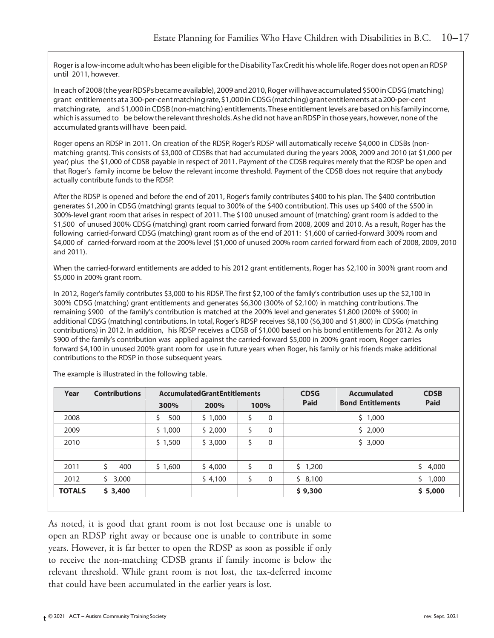Roger is a low-income adult who has been eligible for the Disability Tax Credit his whole life. Roger does not open an RDSP until 2011, however.

Ineachof2008(theyearRDSPsbecameavailable),2009and2010,Rogerwillhaveaccumulated\$500inCDSG(matching) grant entitlementsata 300-per-centmatchingrate,\$1,000inCDSG(matching)grantentitlements at a200-per-cent matching rate, and \$1,000 in CDSB (non-matching) entitlements. These entitlement levels are based on his family income, which is assumed to be below the relevant thresholds. As he did not have an RDSP in those years, however, none of the accumulated grants will have been paid.

Roger opens an RDSP in 2011. On creation of the RDSP, Roger's RDSP will automatically receive \$4,000 in CDSBs (nonmatching grants). This consists of \$3,000 of CDSBs that had accumulated during the years 2008, 2009 and 2010 (at \$1,000 per year) plus the \$1,000 of CDSB payable in respect of 2011. Payment of the CDSB requires merely that the RDSP be open and that Roger's family income be below the relevant income threshold. Payment of the CDSB does not require that anybody actually contribute funds to the RDSP.

After the RDSP is opened and before the end of 2011, Roger's family contributes \$400 to his plan. The \$400 contribution generates \$1,200 in CDSG (matching) grants (equal to 300% of the \$400 contribution). This uses up \$400 of the \$500 in 300%-level grant room that arises in respect of 2011. The \$100 unused amount of (matching) grant room is added to the \$1,500 of unused 300% CDSG (matching) grant room carried forward from 2008, 2009 and 2010. As a result, Roger has the following carried-forward CDSG (matching) grant room as of the end of 2011: \$1,600 of carried-forward 300% room and \$4,000 of carried-forward room at the 200% level (\$1,000 of unused 200% room carried forward from each of 2008, 2009, 2010 and 2011).

When the carried-forward entitlements are added to his 2012 grant entitlements, Roger has \$2,100 in 300% grant room and \$5,000 in 200% grant room.

In 2012, Roger's family contributes \$3,000 to his RDSP. The first \$2,100 of the family's contribution uses up the \$2,100 in 300% CDSG (matching) grant entitlements and generates \$6,300 (300% of \$2,100) in matching contributions. The remaining \$900 of the family's contribution is matched at the 200% level and generates \$1,800 (200% of \$900) in additional CDSG (matching) contributions. In total, Roger's RDSP receives \$8,100 (\$6,300 and \$1,800) in CDSGs (matching contributions) in 2012. In addition, his RDSP receives a CDSB of \$1,000 based on his bond entitlements for 2012. As only \$900 of the family's contribution was applied against the carried-forward \$5,000 in 200% grant room, Roger carries forward \$4,100 in unused 200% grant room for use in future years when Roger, his family or his friends make additional contributions to the RDSP in those subsequent years.

| Year          | <b>Contributions</b> | <b>Accumulated Grant Entitlements</b> |         |                   | <b>CDSG</b> | <b>Accumulated</b>       | <b>CDSB</b> |
|---------------|----------------------|---------------------------------------|---------|-------------------|-------------|--------------------------|-------------|
|               |                      | 300%                                  | 200%    | 100%              | Paid        | <b>Bond Entitlements</b> | <b>Paid</b> |
| 2008          |                      | \$<br>500                             | \$1,000 | $\mathbf 0$<br>\$ |             | \$1,000                  |             |
| 2009          |                      | \$1,000                               | \$2,000 | \$<br>$\mathbf 0$ |             | \$2,000                  |             |
| 2010          |                      | \$1,500                               | \$3,000 | \$<br>$\mathbf 0$ |             | \$3,000                  |             |
|               |                      |                                       |         |                   |             |                          |             |
| 2011          | 400                  | \$1,600                               | \$4,000 | $\mathbf{0}$      | \$1,200     |                          | Ś.<br>4,000 |
| 2012          | Ś.<br>3,000          |                                       | \$4,100 | \$<br>0           | \$8,100     |                          | \$<br>1,000 |
| <b>TOTALS</b> | \$3,400              |                                       |         |                   | \$9,300     |                          | \$5,000     |
|               |                      |                                       |         |                   |             |                          |             |

The example is illustrated in the following table.

As noted, it is good that grant room is not lost because one is unable to open an RDSP right away or because one is unable to contribute in some years. However, it is far better to open the RDSP as soon as possible if only to receive the non-matching CDSB grants if family income is below the relevant threshold. While grant room is not lost, the tax-deferred income that could have been accumulated in the earlier years is lost.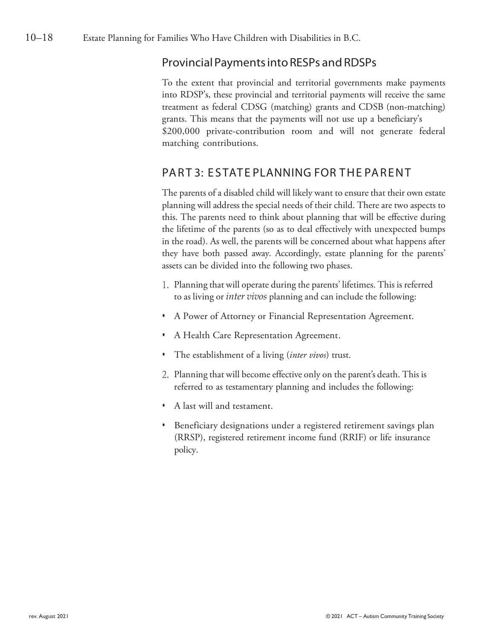### ProvincialPaymentsintoRESPs andRDSPs

To the extent that provincial and territorial governments make payments into RDSP's, these provincial and territorial payments will receive the same treatment as federal CDSG (matching) grants and CDSB (non-matching) grants. This means that the payments will not use up a beneficiary's \$200,000 private-contribution room and will not generate federal matching contributions.

### PART 3: ESTATE PLANNING FOR THE PARENT

The parents of a disabled child will likely want to ensure that their own estate planning will address the special needs of their child. There are two aspects to this. The parents need to think about planning that will be effective during the lifetime of the parents (so as to deal effectively with unexpected bumps in the road). As well, the parents will be concerned about what happens after they have both passed away. Accordingly, estate planning for the parents' assets can be divided into the following two phases.

- 1. Planning that will operate during the parents' lifetimes. This is referred to as living or *inter vivos* planning and can include the following:
- *•* A Power of Attorney or Financial Representation Agreement.
- *•* A Health Care Representation Agreement.
- *•* The establishment of a living (*inter vivos*) trust.
- 2. Planning that will become effective only on the parent's death. This is referred to as testamentary planning and includes the following:
- *•* A last will and testament.
- *•* Beneficiary designations under a registered retirement savings plan (RRSP), registered retirement income fund (RRIF) or life insurance policy.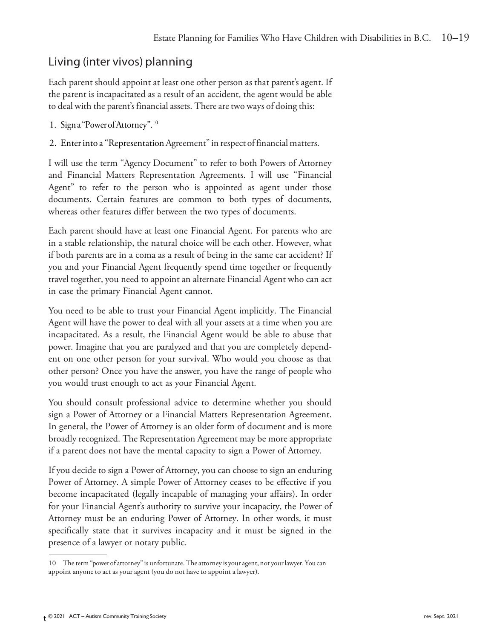# Living (inter vivos) planning

Each parent should appoint at least one other person as that parent's agent. If the parent is incapacitated as a result of an accident, the agent would be able to deal with the parent's financial assets. There are two ways of doing this:

- 1. Signa "PowerofAttorney".10
- 2. Enter into a "Representation Agreement" in respect of financial matters.

I will use the term "Agency Document" to refer to both Powers of Attorney and Financial Matters Representation Agreements. I will use "Financial Agent" to refer to the person who is appointed as agent under those documents. Certain features are common to both types of documents, whereas other features differ between the two types of documents.

Each parent should have at least one Financial Agent. For parents who are in a stable relationship, the natural choice will be each other. However, what if both parents are in a coma as a result of being in the same car accident? If you and your Financial Agent frequently spend time together or frequently travel together, you need to appoint an alternate Financial Agent who can act in case the primary Financial Agent cannot.

You need to be able to trust your Financial Agent implicitly. The Financial Agent will have the power to deal with all your assets at a time when you are incapacitated. As a result, the Financial Agent would be able to abuse that power. Imagine that you are paralyzed and that you are completely dependent on one other person for your survival. Who would you choose as that other person? Once you have the answer, you have the range of people who you would trust enough to act as your Financial Agent.

You should consult professional advice to determine whether you should sign a Power of Attorney or a Financial Matters Representation Agreement. In general, the Power of Attorney is an older form of document and is more broadly recognized. The Representation Agreement may be more appropriate if a parent does not have the mental capacity to sign a Power of Attorney.

If you decide to sign a Power of Attorney, you can choose to sign an enduring Power of Attorney. A simple Power of Attorney ceases to be effective if you become incapacitated (legally incapable of managing your affairs). In order for your Financial Agent's authority to survive your incapacity, the Power of Attorney must be an enduring Power of Attorney. In other words, it must specifically state that it survives incapacity and it must be signed in the presence of a lawyer or notary public.

<sup>10</sup> Theterm"power of attorney" is unfortunate.The attorney is your agent, not yourlawyer.Youcan appoint anyone to act as your agent (you do not have to appoint a lawyer).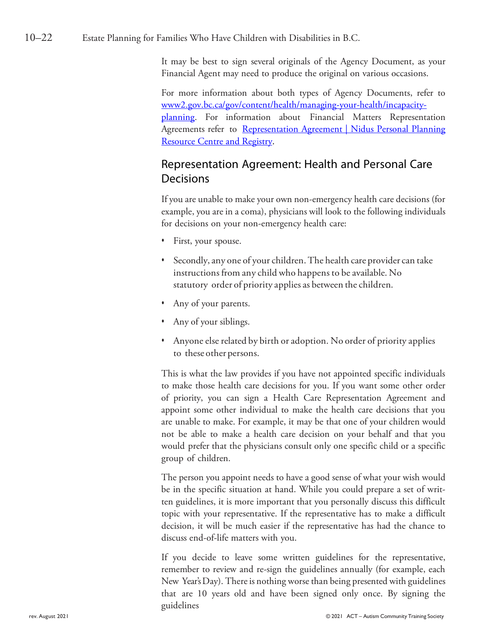#### 10–22 Estate Planning for Families Who Have Children with Disabilities in B.C.

It may be best to sign several originals of the Agency Document, as your Financial Agent may need to produce the original on various occasions.

For more information about both types of Agency Documents, refer to [www2.gov.bc.ca/gov/content/health/managing-your-health/incapacity](https://www2.gov.bc.ca/gov/content/health/managing-your-health/incapacity-planning)[planning](https://www2.gov.bc.ca/gov/content/health/managing-your-health/incapacity-planning)[.](http://www.cba.org/BC/public_media/wills/180.aspx) For information about Financial Matters Representation Agreements refer to Representation Agreement | Nidus Personal Planning [Resource Centre and Registry.](https://www.nidus.ca/resources-ra/)

### Representation Agreement: Health and Personal Care Decisions

If you are unable to make your own non-emergency health care decisions (for example, you are in a coma), physicians will look to the following individuals for decisions on your non-emergency health care:

- First, your spouse.
- *•* Secondly, any one of your children.The health care provider can take instructions from any child who happens to be available. No statutory order of priority applies as between the children.
- *•* Any of your parents.
- *•* Any of your siblings.
- Anyone else related by birth or adoption. No order of priority applies to these other persons.

This is what the law provides if you have not appointed specific individuals to make those health care decisions for you. If you want some other order of priority, you can sign a Health Care Representation Agreement and appoint some other individual to make the health care decisions that you are unable to make. For example, it may be that one of your children would not be able to make a health care decision on your behalf and that you would prefer that the physicians consult only one specific child or a specific group of children.

The person you appoint needs to have a good sense of what your wish would be in the specific situation at hand. While you could prepare a set of written guidelines, it is more important that you personally discuss this difficult topic with your representative. If the representative has to make a difficult decision, it will be much easier if the representative has had the chance to discuss end-of-life matters with you.

If you decide to leave some written guidelines for the representative, remember to review and re-sign the guidelines annually (for example, each New Year's Day). There is nothing worse than being presented with guidelines that are 10 years old and have been signed only once. By signing the guidelines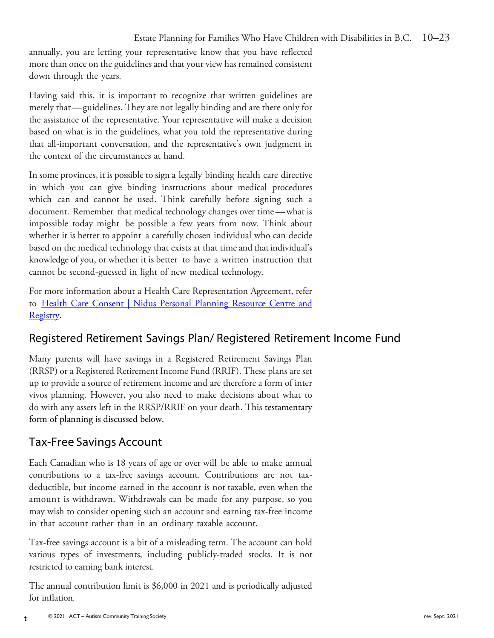annually, you are letting your representative know that you have reflected more than once on the guidelines and that your view has remained consistent down through the years.

Having said this, it is important to recognize that written guidelines are merely that—guidelines. They are not legally binding and are there only for the assistance of the representative. Your representative will make a decision based on what is in the guidelines, what you told the representative during that all-important conversation, and the representative's own judgment in the context of the circumstances at hand.

In some provinces, it is possible to sign a legally binding health care directive in which you can give binding instructions about medical procedures which can and cannot be used. Think carefully before signing such a document. Remember that medical technology changes over time—what is impossible today might be possible a few years from now. Think about whether it is better to appoint a carefully chosen individual who can decide based on the medical technology that exists at that time and that individual's knowledge of you, or whether it is better to have a written instruction that cannot be second-guessed in light of new medical technology.

For more information about a Health Care Representation Agreement, refer to [Health Care Consent | Nidus Personal Planning Resource Centre and](https://www.nidus.ca/resources-hcc/)  [Registry.](https://www.nidus.ca/resources-hcc/)

# Registered Retirement Savings Plan/ Registered Retirement Income Fund

Many parents will have savings in a Registered Retirement Savings Plan (RRSP) or a Registered Retirement Income Fund (RRIF). These plans are set up to provide a source of retirement income and are therefore a form of inter vivos planning. However, you also need to make decisions about what to do with any assets left in the RRSP/RRIF on your death. This testamentary form of planning is discussed below.

# Tax-Free Savings Account

Each Canadian who is 18 years of age or over will be able to make annual contributions to a tax-free savings account. Contributions are not taxdeductible, but income earned in the account is not taxable, even when the amount is withdrawn. Withdrawals can be made for any purpose, so you may wish to consider opening such an account and earning tax-free income in that account rather than in an ordinary taxable account.

Tax-free savings account is a bit of a misleading term. The account can hold various types of investments, including publicly-traded stocks. It is not restricted to earning bank interest.

The annual contribution limit is \$6,000 in 2021 and is periodically adjusted for inflation.

t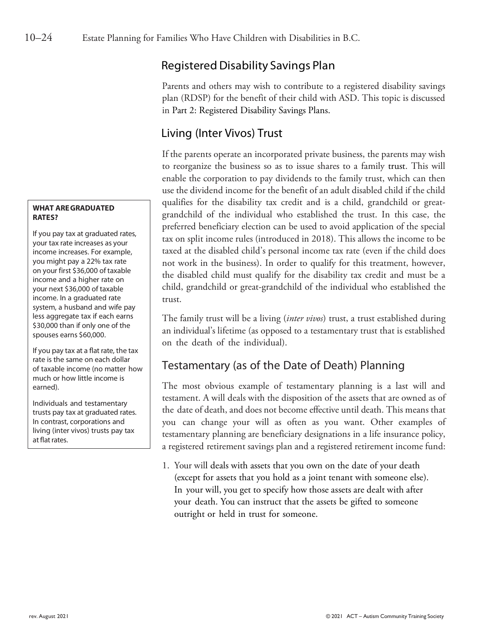### Registered Disability Savings Plan

Parents and others may wish to contribute to a registered disability savings plan (RDSP) for the benefit of their child with ASD. This topic is discussed in Part 2: Registered Disability Savings Plans.

### Living (Inter Vivos) Trust

If the parents operate an incorporated private business, the parents may wish to reorganize the business so as to issue shares to a family trust. This will enable the corporation to pay dividends to the family trust, which can then use the dividend income for the benefit of an adult disabled child if the child qualifies for the disability tax credit and is a child, grandchild or greatgrandchild of the individual who established the trust. In this case, the preferred beneficiary election can be used to avoid application of the special tax on split income rules (introduced in 2018). This allows the income to be taxed at the disabled child's personal income tax rate (even if the child does not work in the business). In order to qualify for this treatment, however, the disabled child must qualify for the disability tax credit and must be a child, grandchild or great-grandchild of the individual who established the trust.

The family trust will be a living (*inter vivos*) trust, a trust established during an individual's lifetime (as opposed to a testamentary trust that is established on the death of the individual).

# Testamentary (as of the Date of Death) Planning

The most obvious example of testamentary planning is a last will and testament. A will deals with the disposition of the assets that are owned as of the date of death, and does not become effective until death. This means that you can change your will as often as you want. Other examples of testamentary planning are beneficiary designations in a life insurance policy, a registered retirement savings plan and a registered retirement income fund:

1. Your will deals with assets that you own on the date of your death (except for assets that you hold as a joint tenant with someone else). In your will, you get to specify how those assets are dealt with after your death. You can instruct that the assets be gifted to someone outright or held in trust for someone.

#### **WHAT AREGRADUATED RATES?**

If you pay tax at graduated rates, your tax rate increases as your income increases. For example, you might pay a 22% tax rate on your first \$36,000 of taxable income and a higher rate on your next \$36,000 of taxable income. In a graduated rate system, a husband and wife pay less aggregate tax if each earns \$30,000 than if only one of the spouses earns \$60,000.

If you pay tax at a flat rate, the tax rate is the same on each dollar of taxable income (no matter how much or how little income is earned).

Individuals and testamentary trusts pay tax at graduated rates. In contrast, corporations and living (inter vivos) trusts pay tax at flat rates.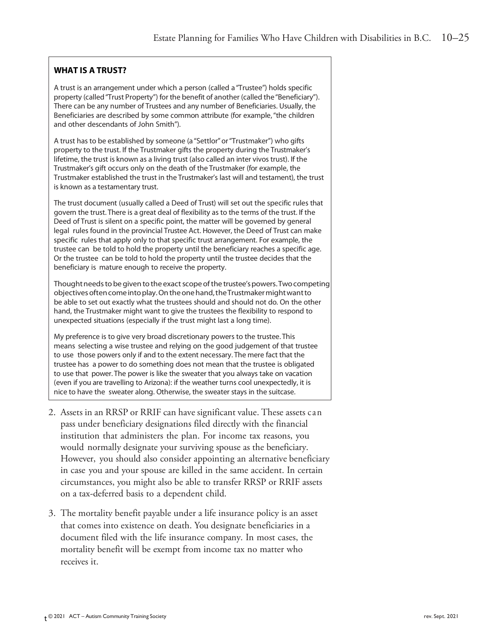### **WHAT IS A TRUST?**

A trust is an arrangement under which a person (called a "Trustee") holds specific property (called"Trust Property") for the benefit of another (called the"Beneficiary"). There can be any number of Trustees and any number of Beneficiaries. Usually, the Beneficiaries are described by some common attribute (for example,"the children and other descendants of John Smith").

A trust has to be established by someone (a "Settlor" or "Trustmaker") who gifts property to the trust. If the Trustmaker gifts the property during the Trustmaker's lifetime, the trust is known as a living trust (also called an inter vivos trust). If the Trustmaker's gift occurs only on the death of the Trustmaker (for example, the Trustmaker established the trust in the Trustmaker's last will and testament), the trust is known as a testamentary trust.

The trust document (usually called a Deed of Trust) will set out the specific rules that govern the trust. There is a great deal of flexibility as to the terms of the trust. If the Deed of Trust is silent on a specific point, the matter will be governed by general legal rules found in the provincial Trustee Act. However, the Deed of Trust can make specific rules that apply only to that specific trust arrangement. For example, the trustee can be told to hold the property until the beneficiary reaches a specific age. Or the trustee can be told to hold the property until the trustee decides that the beneficiary is mature enough to receive the property.

Thought needs to be given to the exact scope of the trustee's powers. Two competing objectives often come into play. On the one hand, the Trustmaker might want to be able to set out exactly what the trustees should and should not do. On the other hand, the Trustmaker might want to give the trustees the flexibility to respond to unexpected situations (especially if the trust might last a long time).

My preference is to give very broad discretionary powers to the trustee. This means selecting a wise trustee and relying on the good judgement of that trustee to use those powers only if and to the extent necessary. The mere fact that the trustee has a power to do something does not mean that the trustee is obligated to use that power. The power is like the sweater that you always take on vacation (even if you are travelling to Arizona): if the weather turns cool unexpectedly, it is nice to have the sweater along. Otherwise, the sweater stays in the suitcase.

- 2. Assets in an RRSP or RRIF can have significant value. These assets can pass under beneficiary designations filed directly with the financial institution that administers the plan. For income tax reasons, you would normally designate your surviving spouse as the beneficiary. However, you should also consider appointing an alternative beneficiary in case you and your spouse are killed in the same accident. In certain circumstances, you might also be able to transfer RRSP or RRIF assets on a tax-deferred basis to a dependent child.
- 3. The mortality benefit payable under a life insurance policy is an asset that comes into existence on death. You designate beneficiaries in a document filed with the life insurance company. In most cases, the mortality benefit will be exempt from income tax no matter who receives it.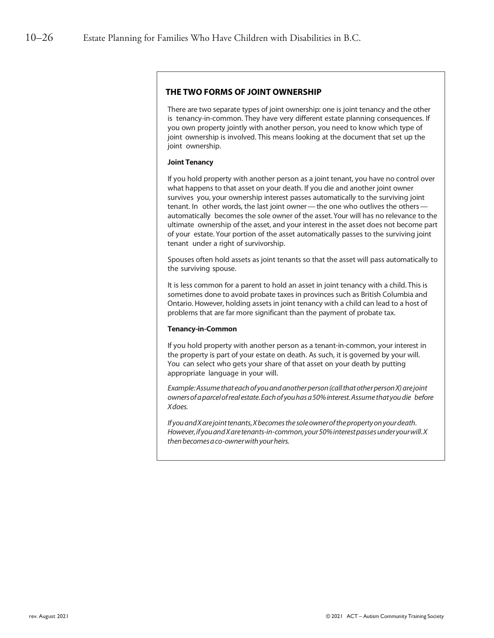#### **THE TWO FORMS OF JOINT OWNERSHIP**

There are two separate types of joint ownership: one is joint tenancy and the other is tenancy-in-common. They have very different estate planning consequences. If you own property jointly with another person, you need to know which type of joint ownership is involved. This means looking at the document that set up the joint ownership.

#### **Joint Tenancy**

If you hold property with another person as a joint tenant, you have no control over what happens to that asset on your death. If you die and another joint owner survives you, your ownership interest passes automatically to the surviving joint tenant. In other words, the last joint owner—the one who outlives the others automatically becomes the sole owner of the asset.Your will has no relevance to the ultimate ownership of the asset, and your interest in the asset does not become part of your estate. Your portion of the asset automatically passes to the surviving joint tenant under a right of survivorship.

Spouses often hold assets as joint tenants so that the asset will pass automatically to the surviving spouse.

It is less common for a parent to hold an asset in joint tenancy with a child. This is sometimes done to avoid probate taxes in provinces such as British Columbia and Ontario. However, holding assets in joint tenancy with a child can lead to a host of problems that are far more significant than the payment of probate tax.

#### **Tenancy-in-Common**

If you hold property with another person as a tenant-in-common, your interest in the property is part of your estate on death. As such, it is governed by your will. You can select who gets your share of that asset on your death by putting appropriate language in your will.

*Example:Assumethateachofyouandanotherperson(callthatotherpersonX)arejoint ownersofaparcelofrealestate.Eachof youhasa50%interest.Assumethatyoudie before Xdoes.*

If you and X are joint tenants, X becomes the sole owner of the property on your death. *However,if youandXaretenants-in-common,your50%interestpassesunderyourwill.X thenbecomesaco-ownerwithyourheirs.*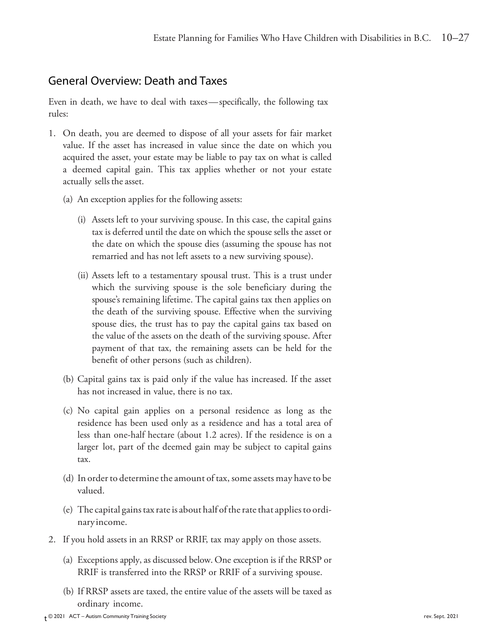### General Overview: Death and Taxes

Even in death, we have to deal with taxes—specifically, the following tax rules:

- 1. On death, you are deemed to dispose of all your assets for fair market value. If the asset has increased in value since the date on which you acquired the asset, your estate may be liable to pay tax on what is called a deemed capital gain. This tax applies whether or not your estate actually sells the asset.
	- (a) An exception applies for the following assets:
		- (i) Assets left to your surviving spouse. In this case, the capital gains tax is deferred until the date on which the spouse sells the asset or the date on which the spouse dies (assuming the spouse has not remarried and has not left assets to a new surviving spouse).
		- (ii) Assets left to a testamentary spousal trust. This is a trust under which the surviving spouse is the sole beneficiary during the spouse's remaining lifetime. The capital gains tax then applies on the death of the surviving spouse. Effective when the surviving spouse dies, the trust has to pay the capital gains tax based on the value of the assets on the death of the surviving spouse. After payment of that tax, the remaining assets can be held for the benefit of other persons (such as children).
	- (b) Capital gains tax is paid only if the value has increased. If the asset has not increased in value, there is no tax.
	- (c) No capital gain applies on a personal residence as long as the residence has been used only as a residence and has a total area of less than one-half hectare (about 1.2 acres). If the residence is on a larger lot, part of the deemed gain may be subject to capital gains tax.
	- (d) In order to determine the amount of tax, some assets may have to be valued.
	- (e) The capital gains tax rate is about half of the rate that applies to ordinary income.
- 2. If you hold assets in an RRSP or RRIF, tax may apply on those assets.
	- (a) Exceptions apply, as discussed below. One exception is if the RRSP or RRIF is transferred into the RRSP or RRIF of a surviving spouse.
	- (b) If RRSP assets are taxed, the entire value of the assets will be taxed as ordinary income.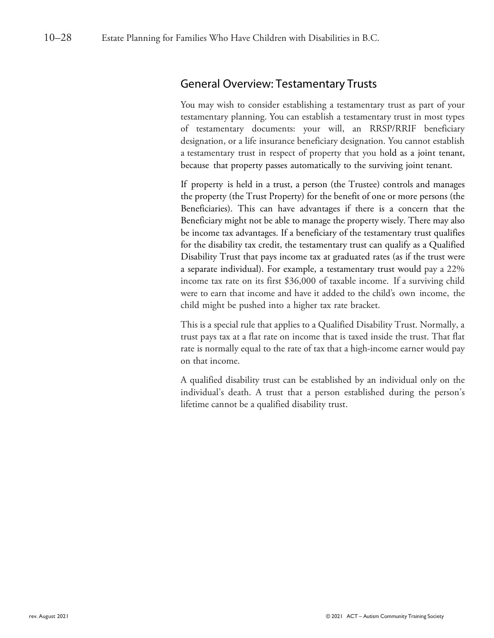### General Overview: Testamentary Trusts

You may wish to consider establishing a testamentary trust as part of your testamentary planning. You can establish a testamentary trust in most types of testamentary documents: your will, an RRSP/RRIF beneficiary designation, or a life insurance beneficiary designation. You cannot establish a testamentary trust in respect of property that you hold as a joint tenant, because that property passes automatically to the surviving joint tenant.

If property is held in a trust, a person (the Trustee) controls and manages the property (the Trust Property) for the benefit of one or more persons (the Beneficiaries). This can have advantages if there is a concern that the Beneficiary might not be able to manage the property wisely. There may also be income tax advantages. If a beneficiary of the testamentary trust qualifies for the disability tax credit, the testamentary trust can qualify as a Qualified Disability Trust that pays income tax at graduated rates (as if the trust were a separate individual). For example, a testamentary trust would pay a 22% income tax rate on its first \$36,000 of taxable income. If a surviving child were to earn that income and have it added to the child's own income, the child might be pushed into a higher tax rate bracket.

This is a special rule that applies to a Qualified Disability Trust. Normally, a trust pays tax at a flat rate on income that is taxed inside the trust. That flat rate is normally equal to the rate of tax that a high-income earner would pay on that income.

A qualified disability trust can be established by an individual only on the individual's death. A trust that a person established during the person's lifetime cannot be a qualified disability trust.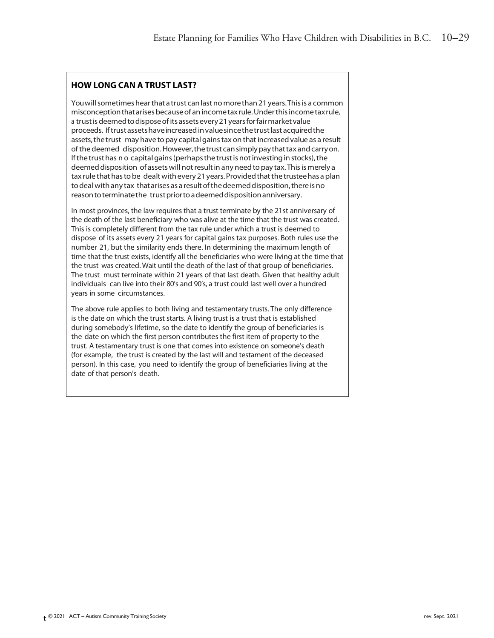#### **HOW LONG CAN A TRUST LAST?**

You will sometimes hear that a trust can last no more than 21 years. This is a common misconceptionthatarisesbecauseof anincometax rule.Underthisincometaxrule, a trust is deemed to dispose of its assets every 21 years for fair market value proceeds. Iftrustassetshaveincreasedinvaluesincethetrustlast acquiredthe assets, the trust may have to pay capital gains tax on that increased value as a result ofthedeemed disposition.However,thetrust cansimplypaythattaxandcarryon. If the trust has n o capital gains (perhaps the trust is not investing in stocks), the deemed disposition of assets will not result in any need to pay tax. This is merely a tax rule that has to be dealt with every 21 years. Provided that the trustee has a plan to deal with any tax that arises as a result of the deemed disposition, there is no reason to terminate the trust prior to a deemed disposition anniversary.

In most provinces, the law requires that a trust terminate by the 21st anniversary of the death of the last beneficiary who was alive at the time that the trust was created. This is completely different from the tax rule under which a trust is deemed to dispose of its assets every 21 years for capital gains tax purposes. Both rules use the number 21, but the similarity ends there. In determining the maximum length of time that the trust exists, identify all the beneficiaries who were living at the time that the trust was created. Wait until the death of the last of that group of beneficiaries. The trust must terminate within 21 years of that last death. Given that healthy adult individuals can live into their 80's and 90's, a trust could last well over a hundred years in some circumstances.

The above rule applies to both living and testamentary trusts. The only difference is the date on which the trust starts. A living trust is a trust that is established during somebody's lifetime, so the date to identify the group of beneficiaries is the date on which the first person contributes the first item of property to the trust. A testamentary trust is one that comes into existence on someone's death (for example, the trust is created by the last will and testament of the deceased person). In this case, you need to identify the group of beneficiaries living at the date of that person's death.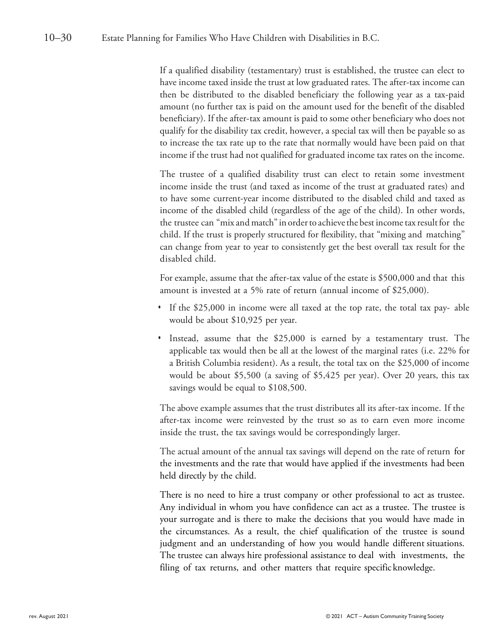If a qualified disability (testamentary) trust is established, the trustee can elect to have income taxed inside the trust at low graduated rates. The after-tax income can then be distributed to the disabled beneficiary the following year as a tax-paid amount (no further tax is paid on the amount used for the benefit of the disabled beneficiary). If the after-tax amount is paid to some other beneficiary who does not qualify for the disability tax credit, however, a special tax will then be payable so as to increase the tax rate up to the rate that normally would have been paid on that income if the trust had not qualified for graduated income tax rates on the income.

The trustee of a qualified disability trust can elect to retain some investment income inside the trust (and taxed as income of the trust at graduated rates) and to have some current-year income distributed to the disabled child and taxed as income of the disabled child (regardless of the age of the child). In other words, the trustee can "mix and match" in order to achieve the best income tax result for the child. If the trust is properly structured for flexibility, that "mixing and matching" can change from year to year to consistently get the best overall tax result for the disabled child.

For example, assume that the after-tax value of the estate is \$500,000 and that this amount is invested at a 5% rate of return (annual income of \$25,000).

- *•* If the \$25,000 in income were all taxed at the top rate, the total tax pay- able would be about \$10,925 per year.
- *•* Instead, assume that the \$25,000 is earned by a testamentary trust. The applicable tax would then be all at the lowest of the marginal rates (i.e. 22% for a British Columbia resident). As a result, the total tax on the \$25,000 of income would be about \$5,500 (a saving of \$5,425 per year). Over 20 years, this tax savings would be equal to \$108,500.

The above example assumes that the trust distributes all its after-tax income. If the after-tax income were reinvested by the trust so as to earn even more income inside the trust, the tax savings would be correspondingly larger.

The actual amount of the annual tax savings will depend on the rate of return for the investments and the rate that would have applied if the investments had been held directly by the child.

There is no need to hire a trust company or other professional to act as trustee. Any individual in whom you have confidence can act as a trustee. The trustee is your surrogate and is there to make the decisions that you would have made in the circumstances. As a result, the chief qualification of the trustee is sound judgment and an understanding of how you would handle different situations. The trustee can always hire professional assistance to deal with investments, the filing of tax returns, and other matters that require specific knowledge.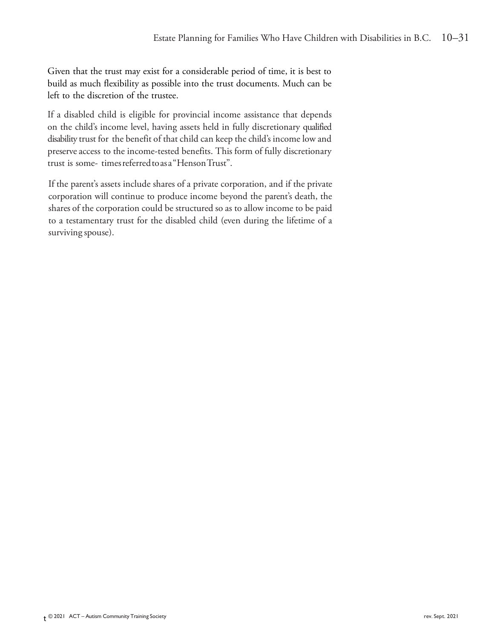Given that the trust may exist for a considerable period of time, it is best to build as much flexibility as possible into the trust documents. Much can be left to the discretion of the trustee.

If a disabled child is eligible for provincial income assistance that depends on the child's income level, having assets held in fully discretionary qualified disability trust for the benefit of that child can keep the child's income low and preserve access to the income-tested benefits. This form of fully discretionary trust is some- timesreferredtoasa"HensonTrust".

If the parent's assets include shares of a private corporation, and if the private corporation will continue to produce income beyond the parent's death, the shares of the corporation could be structured so as to allow income to be paid to a testamentary trust for the disabled child (even during the lifetime of a surviving spouse).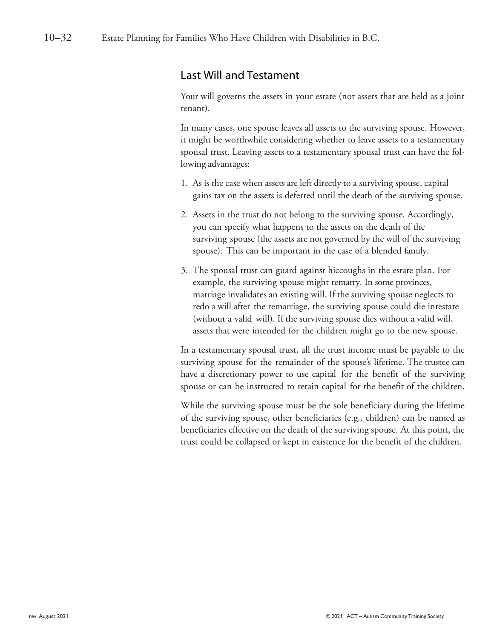### Last Will and Testament

Your will governs the assets in your estate (not assets that are held as a joint tenant).

In many cases, one spouse leaves all assets to the surviving spouse. However, it might be worthwhile considering whether to leave assets to a testamentary spousal trust. Leaving assets to a testamentary spousal trust can have the following advantages:

- 1. As is the case when assets are left directly to a surviving spouse, capital gains tax on the assets is deferred until the death of the surviving spouse.
- 2. Assets in the trust do not belong to the surviving spouse. Accordingly, you can specify what happens to the assets on the death of the surviving spouse (the assets are not governed by the will of the surviving spouse). This can be important in the case of a blended family.
- 3. The spousal trust can guard against hiccoughs in the estate plan. For example, the surviving spouse might remarry. In some provinces, marriage invalidates an existing will. If the surviving spouse neglects to redo a will after the remarriage, the surviving spouse could die intestate (without a valid will). If the surviving spouse dies without a valid will, assets that were intended for the children might go to the new spouse.

In a testamentary spousal trust, all the trust income must be payable to the surviving spouse for the remainder of the spouse's lifetime. The trustee can have a discretionary power to use capital for the benefit of the surviving spouse or can be instructed to retain capital for the benefit of the children.

While the surviving spouse must be the sole beneficiary during the lifetime of the surviving spouse, other beneficiaries (e.g., children) can be named as beneficiaries effective on the death of the surviving spouse. At this point, the trust could be collapsed or kept in existence for the benefit of the children.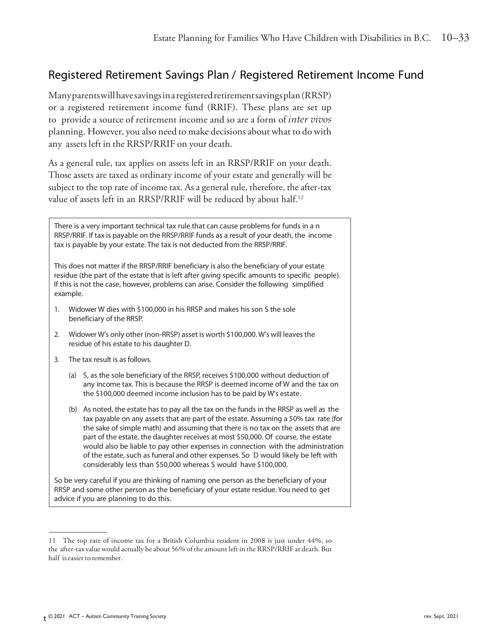### Registered Retirement Savings Plan / Registered Retirement Income Fund

Manyparentswillhavesavingsinaregisteredretirementsavingsplan(RRSP) or a registered retirement income fund (RRIF). These plans are set up to provide a source of retirement income and so are a form of *inter vivos* planning. However, you also need to make decisions about what to do with any assets left in the RRSP/RRIF on your death.

As a general rule, tax applies on assets left in an RRSP/RRIF on your death. Those assets are taxed as ordinary income of your estate and generally will be subject to the top rate of income tax. As a general rule, therefore, the after-tax value of assets left in an RRSP/RRIF will be reduced by about half.<sup>12</sup>

There is a very important technical tax rule that can cause problems for funds in a n RRSP/RRIF. If tax is payable on the RRSP/RRIF funds as a result of your death, the income tax is payable by your estate. The tax is not deducted from the RRSP/RRIF.

This does not matter if the RRSP/RRIF beneficiary is also the beneficiary of your estate residue (the part of the estate that is left after giving specific amounts to specific people). If this is not the case, however, problems can arise. Consider the following simplified example.

- 1. Widower W dies with \$100,000 in his RRSP and makes his son S the sole beneficiary of the RRSP.
- 2. Widower W's only other (non-RRSP) asset is worth \$100,000. W's will leavesthe residue of his estate to his daughter D.
- 3. The tax result is as follows.
	- (a) S, as the sole beneficiary of the RRSP, receives \$100,000 without deduction of any income tax. This is because the RRSP is deemed income of W and the tax on the \$100,000 deemed income inclusion has to be paid by W's estate.
	- (b) As noted, the estate has to pay all the tax on the funds in the RRSP as well as the tax payable on any assets that are part of the estate. Assuming a 50% tax rate (for the sake of simple math) and assuming that there is no tax on the assets that are part of the estate, the daughter receives at most \$50,000. Of course, the estate would also be liable to pay other expenses in connection with the administration of the estate, such as funeral and other expenses. So D would likely be left with considerably less than \$50,000 whereas S would have \$100,000.

So be very careful if you are thinking of naming one person as the beneficiary of your RRSP and some other person as the beneficiary of your estate residue. You need to get advice if you are planning to do this.

<sup>11</sup> The top rate of income tax for a British Columbia resident in 2008 is just under 44%, so the after-tax valuewould actually be about 56% of the amount left in the RRSP/RRIF at death. But half is easier to remember.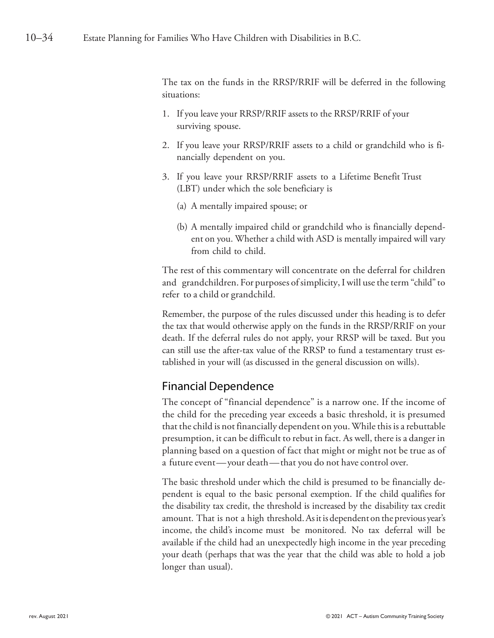The tax on the funds in the RRSP/RRIF will be deferred in the following situations:

- 1. If you leave your RRSP/RRIF assets to the RRSP/RRIF of your surviving spouse.
- 2. If you leave your RRSP/RRIF assets to a child or grandchild who is financially dependent on you.
- 3. If you leave your RRSP/RRIF assets to a Lifetime Benefit Trust (LBT) under which the sole beneficiary is
	- (a) A mentally impaired spouse; or
	- (b) A mentally impaired child or grandchild who is financially dependent on you. Whether a child with ASD is mentally impaired will vary from child to child.

The rest of this commentary will concentrate on the deferral for children and grandchildren. For purposes of simplicity, I will use the term "child" to refer to a child or grandchild.

Remember, the purpose of the rules discussed under this heading is to defer the tax that would otherwise apply on the funds in the RRSP/RRIF on your death. If the deferral rules do not apply, your RRSP will be taxed. But you can still use the after-tax value of the RRSP to fund a testamentary trust established in your will (as discussed in the general discussion on wills).

# Financial Dependence

The concept of "financial dependence" is a narrow one. If the income of the child for the preceding year exceeds a basic threshold, it is presumed that the child is not financially dependent on you. While this is a rebuttable presumption, it can be difficult to rebut in fact. As well, there is a danger in planning based on a question of fact that might or might not be true as of a future event—your death—that you do not have control over.

The basic threshold under which the child is presumed to be financially dependent is equal to the basic personal exemption. If the child qualifies for the disability tax credit, the threshold is increased by the disability tax credit amount. That is not a high threshold.Asitisdependent on the previous year's income, the child's income must be monitored. No tax deferral will be available if the child had an unexpectedly high income in the year preceding your death (perhaps that was the year that the child was able to hold a job longer than usual).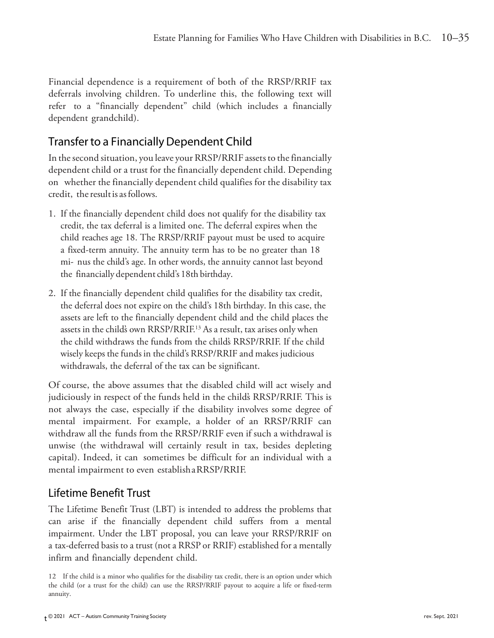Financial dependence is a requirement of both of the RRSP/RRIF tax deferrals involving children. To underline this, the following text will refer to a "financially dependent" child (which includes a financially dependent grandchild).

### Transfer to a Financially Dependent Child

In the second situation, you leave your RRSP/RRIF assets to the financially dependent child or a trust for the financially dependent child. Depending on whether the financially dependent child qualifies for the disability tax credit, the result is as follows.

- 1. If the financially dependent child does not qualify for the disability tax credit, the tax deferral is a limited one. The deferral expires when the child reaches age 18. The RRSP/RRIF payout must be used to acquire a fixed-term annuity. The annuity term has to be no greater than 18 mi- nus the child's age. In other words, the annuity cannot last beyond the financially dependent child's 18th birthday.
- 2. If the financially dependent child qualifies for the disability tax credit, the deferral does not expire on the child's 18th birthday. In this case, the assets are left to the financially dependent child and the child places the assets in the childs own RRSP/RRIF.<sup>13</sup> As a result, tax arises only when the child withdraws the funds from the child's RRSP/RRIF. If the child wisely keeps the funds in the child's RRSP/RRIF and makes judicious withdrawals, the deferral of the tax can be significant.

Of course, the above assumes that the disabled child will act wisely and judiciously in respect of the funds held in the child's RRSP/RRIF. This is not always the case, especially if the disability involves some degree of mental impairment. For example, a holder of an RRSP/RRIF can withdraw all the funds from the RRSP/RRIF even if such a withdrawal is unwise (the withdrawal will certainly result in tax, besides depleting capital). Indeed, it can sometimes be difficult for an individual with a mental impairment to even establishaRRSP/RRIF.

### Lifetime Benefit Trust

The Lifetime Benefit Trust (LBT) is intended to address the problems that can arise if the financially dependent child suffers from a mental impairment. Under the LBT proposal, you can leave your RRSP/RRIF on a tax-deferred basis to a trust (not a RRSP or RRIF) established for a mentally infirm and financially dependent child.

<sup>12</sup> If the child is a minor who qualifies for the disability tax credit, there is an option under which the child (or a trust for the child) can use the RRSP/RRIF payout to acquire a life or fixed-term annuity.